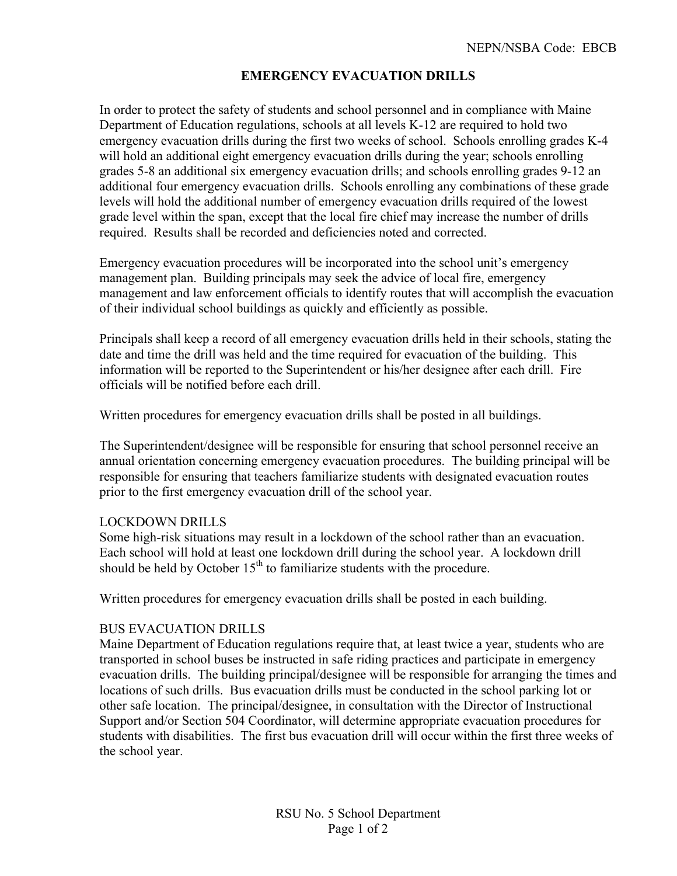## **EMERGENCY EVACUATION DRILLS**

In order to protect the safety of students and school personnel and in compliance with Maine Department of Education regulations, schools at all levels K-12 are required to hold two emergency evacuation drills during the first two weeks of school. Schools enrolling grades K-4 will hold an additional eight emergency evacuation drills during the year; schools enrolling grades 5-8 an additional six emergency evacuation drills; and schools enrolling grades 9-12 an additional four emergency evacuation drills. Schools enrolling any combinations of these grade levels will hold the additional number of emergency evacuation drills required of the lowest grade level within the span, except that the local fire chief may increase the number of drills required. Results shall be recorded and deficiencies noted and corrected.

Emergency evacuation procedures will be incorporated into the school unit's emergency management plan. Building principals may seek the advice of local fire, emergency management and law enforcement officials to identify routes that will accomplish the evacuation of their individual school buildings as quickly and efficiently as possible.

Principals shall keep a record of all emergency evacuation drills held in their schools, stating the date and time the drill was held and the time required for evacuation of the building. This information will be reported to the Superintendent or his/her designee after each drill. Fire officials will be notified before each drill.

Written procedures for emergency evacuation drills shall be posted in all buildings.

The Superintendent/designee will be responsible for ensuring that school personnel receive an annual orientation concerning emergency evacuation procedures. The building principal will be responsible for ensuring that teachers familiarize students with designated evacuation routes prior to the first emergency evacuation drill of the school year.

## LOCKDOWN DRILLS

Some high-risk situations may result in a lockdown of the school rather than an evacuation. Each school will hold at least one lockdown drill during the school year. A lockdown drill should be held by October  $15<sup>th</sup>$  to familiarize students with the procedure.

Written procedures for emergency evacuation drills shall be posted in each building.

## BUS EVACUATION DRILLS

Maine Department of Education regulations require that, at least twice a year, students who are transported in school buses be instructed in safe riding practices and participate in emergency evacuation drills. The building principal/designee will be responsible for arranging the times and locations of such drills. Bus evacuation drills must be conducted in the school parking lot or other safe location. The principal/designee, in consultation with the Director of Instructional Support and/or Section 504 Coordinator, will determine appropriate evacuation procedures for students with disabilities. The first bus evacuation drill will occur within the first three weeks of the school year.